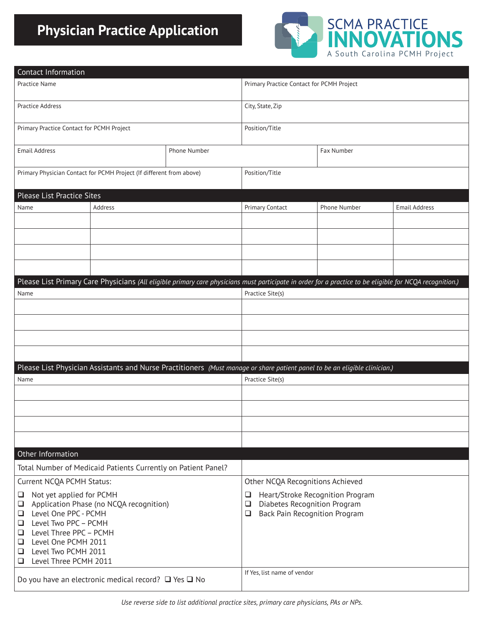## **Physician Practice Application**



| Contact Information                                                                                                                                      |              |  |                                                |              |                      |  |  |  |
|----------------------------------------------------------------------------------------------------------------------------------------------------------|--------------|--|------------------------------------------------|--------------|----------------------|--|--|--|
| Practice Name                                                                                                                                            |              |  | Primary Practice Contact for PCMH Project      |              |                      |  |  |  |
| Practice Address                                                                                                                                         |              |  | City, State, Zip                               |              |                      |  |  |  |
| Primary Practice Contact for PCMH Project                                                                                                                |              |  | Position/Title                                 |              |                      |  |  |  |
| <b>Email Address</b>                                                                                                                                     | Phone Number |  |                                                | Fax Number   |                      |  |  |  |
| Primary Physician Contact for PCMH Project (If different from above)                                                                                     |              |  | Position/Title                                 |              |                      |  |  |  |
| Please List Practice Sites                                                                                                                               |              |  |                                                |              |                      |  |  |  |
| Name                                                                                                                                                     | Address      |  | Primary Contact                                | Phone Number | <b>Email Address</b> |  |  |  |
|                                                                                                                                                          |              |  |                                                |              |                      |  |  |  |
|                                                                                                                                                          |              |  |                                                |              |                      |  |  |  |
|                                                                                                                                                          |              |  |                                                |              |                      |  |  |  |
|                                                                                                                                                          |              |  |                                                |              |                      |  |  |  |
|                                                                                                                                                          |              |  |                                                |              |                      |  |  |  |
| Please List Primary Care Physicians (All eligible primary care physicians must participate in order for a practice to be eligible for NCQA recognition.) |              |  |                                                |              |                      |  |  |  |
| Name                                                                                                                                                     |              |  | Practice Site(s)                               |              |                      |  |  |  |
|                                                                                                                                                          |              |  |                                                |              |                      |  |  |  |
|                                                                                                                                                          |              |  |                                                |              |                      |  |  |  |
|                                                                                                                                                          |              |  |                                                |              |                      |  |  |  |
|                                                                                                                                                          |              |  |                                                |              |                      |  |  |  |
|                                                                                                                                                          |              |  |                                                |              |                      |  |  |  |
| Please List Physician Assistants and Nurse Practitioners (Must manage or share patient panel to be an eligible clinician.)<br>Name                       |              |  | Practice Site(s)                               |              |                      |  |  |  |
|                                                                                                                                                          |              |  |                                                |              |                      |  |  |  |
|                                                                                                                                                          |              |  |                                                |              |                      |  |  |  |
|                                                                                                                                                          |              |  |                                                |              |                      |  |  |  |
|                                                                                                                                                          |              |  |                                                |              |                      |  |  |  |
|                                                                                                                                                          |              |  |                                                |              |                      |  |  |  |
| Other Information                                                                                                                                        |              |  |                                                |              |                      |  |  |  |
| Total Number of Medicaid Patients Currently on Patient Panel?                                                                                            |              |  |                                                |              |                      |  |  |  |
| Current NCQA PCMH Status:                                                                                                                                |              |  | Other NCQA Recognitions Achieved               |              |                      |  |  |  |
| Not yet applied for PCMH<br>❏                                                                                                                            |              |  | Heart/Stroke Recognition Program<br>$\Box$     |              |                      |  |  |  |
| Application Phase (no NCQA recognition)<br>$\Box$                                                                                                        |              |  | Diabetes Recognition Program<br>$\Box$         |              |                      |  |  |  |
| Level One PPC - PCMH<br>$\Box$<br>Level Two PPC - PCMH<br>$\Box$                                                                                         |              |  | <b>Back Pain Recognition Program</b><br>$\Box$ |              |                      |  |  |  |
| Level Three PPC - PCMH<br>❏                                                                                                                              |              |  |                                                |              |                      |  |  |  |
| Level One PCMH 2011<br>❏<br>Level Two PCMH 2011<br>$\Box$                                                                                                |              |  |                                                |              |                      |  |  |  |
| Level Three PCMH 2011<br>$\Box$                                                                                                                          |              |  |                                                |              |                      |  |  |  |
|                                                                                                                                                          |              |  | If Yes, list name of vendor                    |              |                      |  |  |  |
| Do you have an electronic medical record? $\Box$ Yes $\Box$ No                                                                                           |              |  |                                                |              |                      |  |  |  |